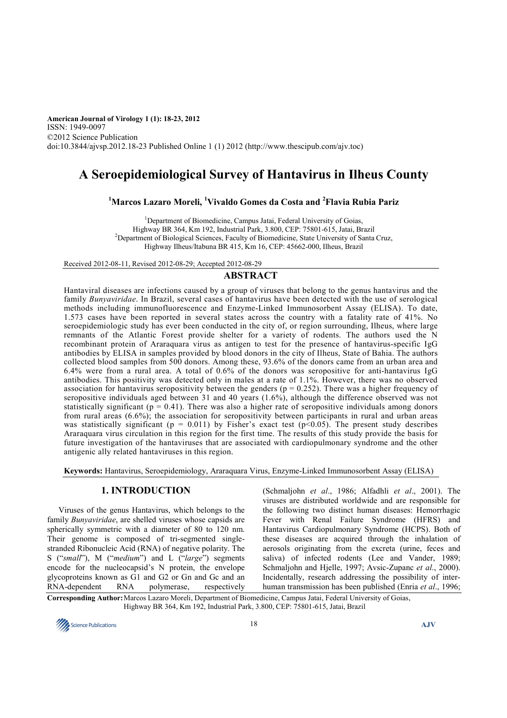**American Journal of Virology 1 (1): 18-23, 2012**  ISSN: 1949-0097 ©2012 Science Publication doi:10.3844/ajvsp.2012.18-23 Published Online 1 (1) 2012 (http://www.thescipub.com/ajv.toc)

# **A Seroepidemiological Survey of Hantavirus in Ilheus County**

# **<sup>1</sup>Marcos Lazaro Moreli, <sup>1</sup>Vivaldo Gomes da Costa and <sup>2</sup>Flavia Rubia Pariz**

<sup>1</sup>Department of Biomedicine, Campus Jatai, Federal University of Goias, Highway BR 364, Km 192, Industrial Park, 3.800, CEP: 75801-615, Jatai, Brazil <sup>2</sup>Department of Biological Sciences, Faculty of Biomedicine, State University of Santa Cruz, Highway Ilheus/Itabuna BR 415, Km 16, CEP: 45662-000, Ilheus, Brazil

Received 2012-08-11, Revised 2012-08-29; Accepted 2012-08-29

# **ABSTRACT**

Hantaviral diseases are infections caused by a group of viruses that belong to the genus hantavirus and the family *Bunyaviridae*. In Brazil, several cases of hantavirus have been detected with the use of serological methods including immunofluorescence and Enzyme-Linked Immunosorbent Assay (ELISA). To date, 1.573 cases have been reported in several states across the country with a fatality rate of 41%. No seroepidemiologic study has ever been conducted in the city of, or region surrounding, Ilheus, where large remnants of the Atlantic Forest provide shelter for a variety of rodents. The authors used the N recombinant protein of Araraquara virus as antigen to test for the presence of hantavirus-specific IgG antibodies by ELISA in samples provided by blood donors in the city of Ilheus, State of Bahia. The authors collected blood samples from 500 donors. Among these, 93.6% of the donors came from an urban area and 6.4% were from a rural area. A total of 0.6% of the donors was seropositive for anti-hantavirus IgG antibodies. This positivity was detected only in males at a rate of 1.1%. However, there was no observed association for hantavirus seropositivity between the genders ( $p = 0.252$ ). There was a higher frequency of seropositive individuals aged between 31 and 40 years (1.6%), although the difference observed was not statistically significant ( $p = 0.41$ ). There was also a higher rate of seropositive individuals among donors from rural areas (6.6%); the association for seropositivity between participants in rural and urban areas was statistically significant ( $p = 0.011$ ) by Fisher's exact test ( $p \le 0.05$ ). The present study describes Araraquara virus circulation in this region for the first time. The results of this study provide the basis for future investigation of the hantaviruses that are associated with cardiopulmonary syndrome and the other antigenic ally related hantaviruses in this region.

**Keywords:** Hantavirus, Seroepidemiology, Araraquara Virus, Enzyme-Linked Immunosorbent Assay (ELISA)

# **1. INTRODUCTION**

Viruses of the genus Hantavirus, which belongs to the family *Bunyaviridae*, are shelled viruses whose capsids are spherically symmetric with a diameter of 80 to 120 nm. Their genome is composed of tri-segmented singlestranded Ribonucleic Acid (RNA) of negative polarity. The S ("*small*"), M ("*medium*") and L ("*large*") segments encode for the nucleocapsid's N protein, the envelope glycoproteins known as G1 and G2 or Gn and Gc and an RNA-dependent RNA polymerase, respectively

(Schmaljohn *et al*., 1986; Alfadhli *et al*., 2001). The viruses are distributed worldwide and are responsible for the following two distinct human diseases: Hemorrhagic Fever with Renal Failure Syndrome (HFRS) and Hantavirus Cardiopulmonary Syndrome (HCPS). Both of these diseases are acquired through the inhalation of aerosols originating from the excreta (urine, feces and saliva) of infected rodents (Lee and Vander, 1989; Schmaljohn and Hjelle, 1997; Avsic-Zupanc *et al*., 2000). Incidentally, research addressing the possibility of interhuman transmission has been published (Enria *et al*., 1996;

**Corresponding Author:** Marcos Lazaro Moreli, Department of Biomedicine, Campus Jatai, Federal University of Goias, Highway BR 364, Km 192, Industrial Park, 3.800, CEP: 75801-615, Jatai, Brazil

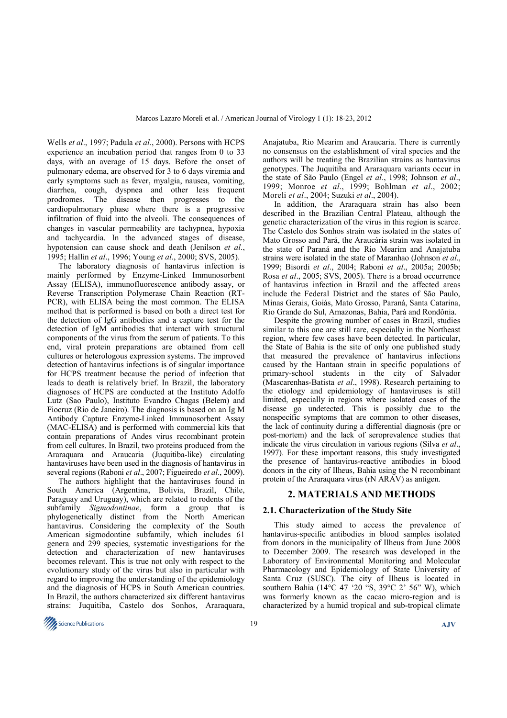Wells *et al*., 1997; Padula *et al*., 2000). Persons with HCPS experience an incubation period that ranges from 0 to 33 days, with an average of 15 days. Before the onset of pulmonary edema, are observed for 3 to 6 days viremia and early symptoms such as fever, myalgia, nausea, vomiting, diarrhea, cough, dyspnea and other less frequent prodromes. The disease then progresses to the cardiopulmonary phase where there is a progressive infiltration of fluid into the alveoli. The consequences of changes in vascular permeability are tachypnea, hypoxia and tachycardia. In the advanced stages of disease, hypotension can cause shock and death (Jenilson *et al*., 1995; Hallin *et al*., 1996; Young *et al*., 2000; SVS, 2005).

The laboratory diagnosis of hantavirus infection is mainly performed by Enzyme-Linked Immunosorbent Assay (ELISA), immunofluorescence antibody assay, or Reverse Transcription Polymerase Chain Reaction (RT-PCR), with ELISA being the most common. The ELISA method that is performed is based on both a direct test for the detection of IgG antibodies and a capture test for the detection of IgM antibodies that interact with structural components of the virus from the serum of patients. To this end, viral protein preparations are obtained from cell cultures or heterologous expression systems. The improved detection of hantavirus infections is of singular importance for HCPS treatment because the period of infection that leads to death is relatively brief. In Brazil, the laboratory diagnoses of HCPS are conducted at the Instituto Adolfo Lutz (Sao Paulo), Instituto Evandro Chagas (Belem) and Fiocruz (Rio de Janeiro). The diagnosis is based on an Ig M Antibody Capture Enzyme-Linked Immunosorbent Assay (MAC-ELISA) and is performed with commercial kits that contain preparations of Andes virus recombinant protein from cell cultures. In Brazil, two proteins produced from the Araraquara and Araucaria (Juquitiba-like) circulating hantaviruses have been used in the diagnosis of hantavirus in several regions (Raboni *et al*., 2007; Figueiredo *et al*., 2009).

The authors highlight that the hantaviruses found in South America (Argentina, Bolivia, Brazil, Chile, Paraguay and Uruguay), which are related to rodents of the subfamily *Sigmodontinae*, form a group that is phylogenetically distinct from the North American hantavirus. Considering the complexity of the South American sigmodontine subfamily, which includes 61 genera and 299 species, systematic investigations for the detection and characterization of new hantaviruses becomes relevant. This is true not only with respect to the evolutionary study of the virus but also in particular with regard to improving the understanding of the epidemiology and the diagnosis of HCPS in South American countries. In Brazil, the authors characterized six different hantavirus strains: Juquitiba, Castelo dos Sonhos, Araraquara,

Anajatuba, Rio Mearim and Araucaria. There is currently no consensus on the establishment of viral species and the authors will be treating the Brazilian strains as hantavirus genotypes. The Juquitiba and Araraquara variants occur in the state of São Paulo (Engel *et al*., 1998; Johnson *et al*., 1999; Monroe *et al*., 1999; Bohlman *et al*., 2002; Moreli *et al*., 2004; Suzuki *et al*., 2004).

In addition, the Araraquara strain has also been described in the Brazilian Central Plateau, although the genetic characterization of the virus in this region is scarce. The Castelo dos Sonhos strain was isolated in the states of Mato Grosso and Pará, the Araucária strain was isolated in the state of Paraná and the Rio Mearim and Anajatuba strains were isolated in the state of Maranhao (Johnson *et al*., 1999; Bisordi *et al*., 2004; Raboni *et al*., 2005a; 2005b; Rosa *et al*., 2005; SVS, 2005). There is a broad occurrence of hantavirus infection in Brazil and the affected areas include the Federal District and the states of São Paulo, Minas Gerais, Goiás, Mato Grosso, Paraná, Santa Catarina, Rio Grande do Sul, Amazonas, Bahia, Pará and Rondônia.

Despite the growing number of cases in Brazil, studies similar to this one are still rare, especially in the Northeast region, where few cases have been detected. In particular, the State of Bahia is the site of only one published study that measured the prevalence of hantavirus infections caused by the Hantaan strain in specific populations of primary-school students in the city of Salvador (Mascarenhas-Batista *et al*., 1998). Research pertaining to the etiology and epidemiology of hantaviruses is still limited, especially in regions where isolated cases of the disease go undetected. This is possibly due to the nonspecific symptoms that are common to other diseases, the lack of continuity during a differential diagnosis (pre or post-mortem) and the lack of seroprevalence studies that indicate the virus circulation in various regions (Silva *et al*., 1997). For these important reasons, this study investigated the presence of hantavirus-reactive antibodies in blood donors in the city of Ilheus, Bahia using the N recombinant protein of the Araraquara virus (rN ARAV) as antigen.

## **2. MATERIALS AND METHODS**

#### **2.1. Characterization of the Study Site**

This study aimed to access the prevalence of hantavirus-specific antibodies in blood samples isolated from donors in the municipality of Ilheus from June 2008 to December 2009. The research was developed in the Laboratory of Environmental Monitoring and Molecular Pharmacology and Epidemiology of State University of Santa Cruz (SUSC). The city of Ilheus is located in southern Bahia (14°C 47 '20 "S, 39°C 2' 56" W), which was formerly known as the cacao micro-region and is characterized by a humid tropical and sub-tropical climate

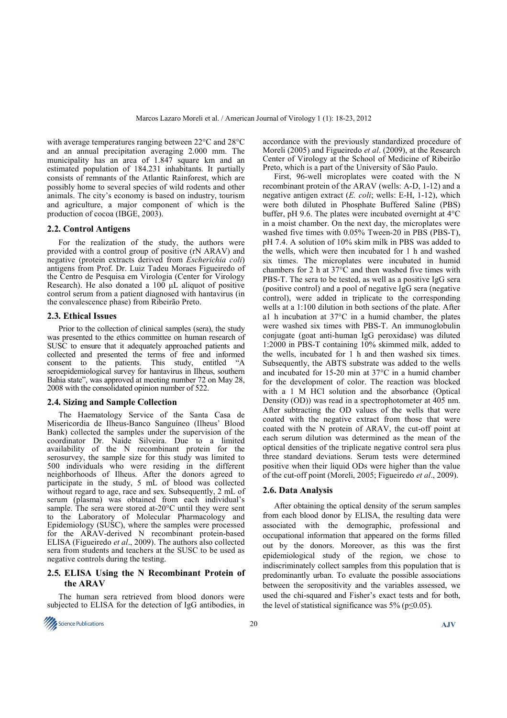with average temperatures ranging between 22°C and 28°C and an annual precipitation averaging 2.000 mm. The municipality has an area of 1.847 square km and an estimated population of 184.231 inhabitants. It partially consists of remnants of the Atlantic Rainforest, which are possibly home to several species of wild rodents and other animals. The city's economy is based on industry, tourism and agriculture, a major component of which is the production of cocoa (IBGE, 2003).

#### **2.2. Control Antigens**

For the realization of the study, the authors were provided with a control group of positive (rN ARAV) and negative (protein extracts derived from *Escherichia coli*) antigens from Prof. Dr. Luiz Tadeu Moraes Figueiredo of the Centro de Pesquisa em Virologia (Center for Virology Research). He also donated a  $100 \mu L$  aliquot of positive control serum from a patient diagnosed with hantavirus (in the convalescence phase) from Ribeirão Preto.

#### **2.3. Ethical Issues**

Prior to the collection of clinical samples (sera), the study was presented to the ethics committee on human research of SUSC to ensure that it adequately approached patients and collected and presented the terms of free and informed consent to the patients. This study, entitled "A seroepidemiological survey for hantavirus in Ilheus, southern Bahia state", was approved at meeting number 72 on May 28, 2008 with the consolidated opinion number of 522.

#### **2.4. Sizing and Sample Collection**

The Haematology Service of the Santa Casa de Misericordia de Ilheus-Banco Sanguíneo (Ilheus' Blood Bank) collected the samples under the supervision of the coordinator Dr. Naide Silveira. Due to a limited availability of the N recombinant protein for the serosurvey, the sample size for this study was limited to 500 individuals who were residing in the different neighborhoods of Ilheus. After the donors agreed to participate in the study, 5 mL of blood was collected without regard to age, race and sex. Subsequently, 2 mL of serum (plasma) was obtained from each individual's sample. The sera were stored at-20°C until they were sent to the Laboratory of Molecular Pharmacology and Epidemiology (SUSC), where the samples were processed for the ARAV-derived N recombinant protein-based ELISA (Figueiredo *et al*., 2009). The authors also collected sera from students and teachers at the SUSC to be used as negative controls during the testing.

### **2.5. ELISA Using the N Recombinant Protein of the ARAV**

The human sera retrieved from blood donors were subjected to ELISA for the detection of IgG antibodies, in



accordance with the previously standardized procedure of Moreli (2005) and Figueiredo *et al*. (2009), at the Research Center of Virology at the School of Medicine of Ribeirão Preto, which is a part of the University of São Paulo.

First, 96-well microplates were coated with the N recombinant protein of the ARAV (wells: A-D, 1-12) and a negative antigen extract (*E. coli*; wells: E-H, 1-12), which were both diluted in Phosphate Buffered Saline (PBS) buffer, pH 9.6. The plates were incubated overnight at 4°C in a moist chamber. On the next day, the microplates were washed five times with 0.05% Tween-20 in PBS (PBS-T), pH 7.4. A solution of 10% skim milk in PBS was added to the wells, which were then incubated for 1 h and washed six times. The microplates were incubated in humid chambers for 2 h at 37°C and then washed five times with PBS-T. The sera to be tested, as well as a positive IgG sera (positive control) and a pool of negative IgG sera (negative control), were added in triplicate to the corresponding wells at a 1:100 dilution in both sections of the plate. After a1 h incubation at 37°C in a humid chamber, the plates were washed six times with PBS-T. An immunoglobulin conjugate (goat anti-human IgG peroxidase) was diluted 1:2000 in PBS-T containing 10% skimmed milk, added to the wells, incubated for 1 h and then washed six times. Subsequently, the ABTS substrate was added to the wells and incubated for 15-20 min at 37°C in a humid chamber for the development of color. The reaction was blocked with a 1 M HCl solution and the absorbance (Optical Density (OD)) was read in a spectrophotometer at 405 nm. After subtracting the OD values of the wells that were coated with the negative extract from those that were coated with the N protein of ARAV, the cut-off point at each serum dilution was determined as the mean of the optical densities of the triplicate negative control sera plus three standard deviations. Serum tests were determined positive when their liquid ODs were higher than the value of the cut-off point (Moreli, 2005; Figueiredo *et al*., 2009).

#### **2.6. Data Analysis**

After obtaining the optical density of the serum samples from each blood donor by ELISA, the resulting data were associated with the demographic, professional and occupational information that appeared on the forms filled out by the donors. Moreover, as this was the first epidemiological study of the region, we chose to indiscriminately collect samples from this population that is predominantly urban. To evaluate the possible associations between the seropositivity and the variables assessed, we used the chi-squared and Fisher's exact tests and for both, the level of statistical significance was  $5\%$  (p $\leq 0.05$ ).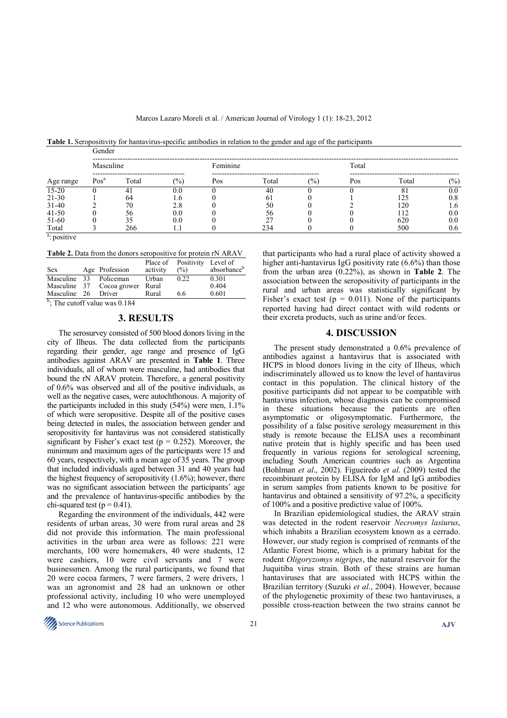**Table 1.** Seropositivity for hantavirus-specific antibodies in relation to the gender and age of the participants

| Age range                  | Gender           |       |     |          |       |               |       |       |                |  |  |  |
|----------------------------|------------------|-------|-----|----------|-------|---------------|-------|-------|----------------|--|--|--|
|                            | Masculine        |       |     | Feminine |       |               | Total |       |                |  |  |  |
|                            | Pos <sup>a</sup> | Total | (%) | Pos      | Total | $\frac{6}{2}$ | Pos   | Total | $\binom{0}{0}$ |  |  |  |
| $15 - 20$                  |                  |       | 0.0 |          | 40    |               |       | 8.    | 0.0            |  |  |  |
| 21-30                      |                  | 64    | .6  |          | 61    |               |       | 125   | 0.8            |  |  |  |
| $31-40$                    |                  | 70    | 2.8 |          | 50    |               |       | 120   | 1.6            |  |  |  |
| $41 - 50$                  |                  | 56    | 0.0 |          | 56    |               |       | 112   | 0.0            |  |  |  |
| 51-60                      |                  |       | 0.0 |          | 27    |               |       | 620   | 0.0            |  |  |  |
| Total<br>$a \rightarrow a$ |                  | 266   |     |          | 234   |               |       | 500   | 0.6            |  |  |  |

<sup>a</sup>: positive

**Table 2.** Data from the donors seropositive for protein rN ARAV

|              |               |                |          | Place of Positivity | Level of                |
|--------------|---------------|----------------|----------|---------------------|-------------------------|
| <b>Sex</b>   |               | Age Profession | activity | $\frac{6}{2}$       | absorbance <sup>b</sup> |
| Masculine 33 |               | Policeman      | Urban    | 0.22                | 0.301                   |
| Masculine 37 |               | Cocoa grower   | Rural    |                     | 0.404                   |
| Masculine 26 |               | Driver         | Rural    | 6.6                 | 0.601                   |
| $h = m$      | $\sim$ $\sim$ | 0.101          |          |                     |                         |

<sup>b</sup>; The cutoff value was 0.184

## **3. RESULTS**

The serosurvey consisted of 500 blood donors living in the city of Ilheus. The data collected from the participants regarding their gender, age range and presence of IgG antibodies against ARAV are presented in **Table 1**. Three individuals, all of whom were masculine, had antibodies that bound the rN ARAV protein. Therefore, a general positivity of 0.6% was observed and all of the positive individuals, as well as the negative cases, were autochthonous. A majority of the participants included in this study (54%) were men, 1.1% of which were seropositive. Despite all of the positive cases being detected in males, the association between gender and seropositivity for hantavirus was not considered statistically significant by Fisher's exact test ( $p = 0.252$ ). Moreover, the minimum and maximum ages of the participants were 15 and 60 years, respectively, with a mean age of 35 years. The group that included individuals aged between 31 and 40 years had the highest frequency of seropositivity  $(1.6\%)$ ; however, there was no significant association between the participants' age and the prevalence of hantavirus-specific antibodies by the chi-squared test ( $p = 0.41$ ).

Regarding the environment of the individuals, 442 were residents of urban areas, 30 were from rural areas and 28 did not provide this information. The main professional activities in the urban area were as follows: 221 were merchants, 100 were homemakers, 40 were students, 12 were cashiers, 10 were civil servants and 7 were businessmen. Among the rural participants, we found that 20 were cocoa farmers, 7 were farmers, 2 were drivers, 1 was an agronomist and 28 had an unknown or other professional activity, including 10 who were unemployed and 12 who were autonomous. Additionally, we observed

that participants who had a rural place of activity showed a higher anti-hantavirus IgG positivity rate (6.6%) than those from the urban area (0.22%), as shown in **Table 2**. The association between the seropositivity of participants in the rural and urban areas was statistically significant by Fisher's exact test ( $p = 0.011$ ). None of the participants reported having had direct contact with wild rodents or their excreta products, such as urine and/or feces.

## **4. DISCUSSION**

The present study demonstrated a 0.6% prevalence of antibodies against a hantavirus that is associated with HCPS in blood donors living in the city of Ilheus, which indiscriminately allowed us to know the level of hantavirus contact in this population. The clinical history of the positive participants did not appear to be compatible with hantavirus infection, whose diagnosis can be compromised in these situations because the patients are often asymptomatic or oligosymptomatic. Furthermore, the possibility of a false positive serology measurement in this study is remote because the ELISA uses a recombinant native protein that is highly specific and has been used frequently in various regions for serological screening, including South American countries such as Argentina (Bohlman *et al*., 2002). Figueiredo *et al*. (2009) tested the recombinant protein by ELISA for IgM and IgG antibodies in serum samples from patients known to be positive for hantavirus and obtained a sensitivity of 97.2%, a specificity of 100% and a positive predictive value of 100%.

In Brazilian epidemiological studies, the ARAV strain was detected in the rodent reservoir *Necromys lasiurus*, which inhabits a Brazilian ecosystem known as a cerrado. However, our study region is comprised of remnants of the Atlantic Forest biome, which is a primary habitat for the rodent *Oligoryzomys nigripes*, the natural reservoir for the Juquitiba virus strain. Both of these strains are human hantaviruses that are associated with HCPS within the Brazilian territory (Suzuki *et al*., 2004). However, because of the phylogenetic proximity of these two hantaviruses, a possible cross-reaction between the two strains cannot be

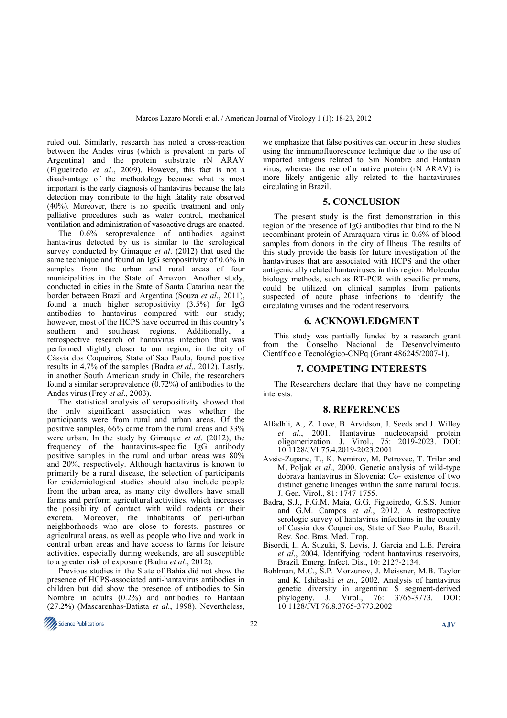ruled out. Similarly, research has noted a cross-reaction between the Andes virus (which is prevalent in parts of Argentina) and the protein substrate rN ARAV (Figueiredo *et al*., 2009). However, this fact is not a disadvantage of the methodology because what is most important is the early diagnosis of hantavirus because the late detection may contribute to the high fatality rate observed (40%). Moreover, there is no specific treatment and only palliative procedures such as water control, mechanical ventilation and administration of vasoactive drugs are enacted.

The 0.6% seroprevalence of antibodies against hantavirus detected by us is similar to the serological survey conducted by Gimaque *et al*. (2012) that used the same technique and found an IgG seropositivity of 0.6% in samples from the urban and rural areas of four municipalities in the State of Amazon. Another study, conducted in cities in the State of Santa Catarina near the border between Brazil and Argentina (Souza *et al*., 2011), found a much higher seropositivity (3.5%) for IgG antibodies to hantavirus compared with our study; however, most of the HCPS have occurred in this country's southern and southeast regions. Additionally, a retrospective research of hantavirus infection that was performed slightly closer to our region, in the city of Cássia dos Coqueiros, State of Sao Paulo, found positive results in 4.7% of the samples (Badra *et al*., 2012). Lastly, in another South American study in Chile, the researchers found a similar seroprevalence (0.72%) of antibodies to the Andes virus (Frey *et al*., 2003).

The statistical analysis of seropositivity showed that the only significant association was whether the participants were from rural and urban areas. Of the positive samples, 66% came from the rural areas and 33% were urban. In the study by Gimaque *et al*. (2012), the frequency of the hantavirus-specific IgG antibody positive samples in the rural and urban areas was 80% and 20%, respectively. Although hantavirus is known to primarily be a rural disease, the selection of participants for epidemiological studies should also include people from the urban area, as many city dwellers have small farms and perform agricultural activities, which increases the possibility of contact with wild rodents or their excreta. Moreover, the inhabitants of peri-urban neighborhoods who are close to forests, pastures or agricultural areas, as well as people who live and work in central urban areas and have access to farms for leisure activities, especially during weekends, are all susceptible to a greater risk of exposure (Badra *et al*., 2012).

Previous studies in the State of Bahia did not show the presence of HCPS-associated anti-hantavirus antibodies in children but did show the presence of antibodies to Sin Nombre in adults (0.2%) and antibodies to Hantaan (27.2%) (Mascarenhas-Batista *et al*., 1998). Nevertheless,

we emphasize that false positives can occur in these studies using the immunofluorescence technique due to the use of imported antigens related to Sin Nombre and Hantaan virus, whereas the use of a native protein (rN ARAV) is more likely antigenic ally related to the hantaviruses circulating in Brazil.

### **5. CONCLUSION**

The present study is the first demonstration in this region of the presence of IgG antibodies that bind to the N recombinant protein of Araraquara virus in 0.6% of blood samples from donors in the city of Ilheus. The results of this study provide the basis for future investigation of the hantaviruses that are associated with HCPS and the other antigenic ally related hantaviruses in this region. Molecular biology methods, such as RT-PCR with specific primers, could be utilized on clinical samples from patients suspected of acute phase infections to identify the circulating viruses and the rodent reservoirs.

#### **6. ACKNOWLEDGMENT**

This study was partially funded by a research grant from the Conselho Nacional de Desenvolvimento Científico e Tecnológico-CNPq (Grant 486245/2007-1).

### **7. COMPETING INTERESTS**

The Researchers declare that they have no competing interests.

#### **8. REFERENCES**

- Alfadhli, A., Z. Love, B. Arvidson, J. Seeds and J. Willey *et al*., 2001. Hantavirus nucleocapsid protein oligomerization. J. Virol., 75: 2019-2023. DOI: 10.1128/JVI.75.4.2019-2023.2001
- Avsic-Zupanc, T., K. Nemirov, M. Petrovec, T. Trilar and M. Poljak *et al*., 2000. Genetic analysis of wild-type dobrava hantavirus in Slovenia: Co- existence of two distinct genetic lineages within the same natural focus. J. Gen. Virol., 81: 1747-1755.
- Badra, S.J., F.G.M. Maia, G.G. Figueiredo, G.S.S. Junior and G.M. Campos *et al*., 2012. A restropective serologic survey of hantavirus infections in the county of Cassia dos Coqueiros, State of Sao Paulo, Brazil. Rev. Soc. Bras. Med. Trop.
- Bisordi, I., A. Suzuki, S. Levis, J. Garcia and L.E. Pereira *et al*., 2004. Identifying rodent hantavirus reservoirs, Brazil. Emerg. Infect. Dis., 10: 2127-2134.
- Bohlman, M.C., S.P. Morzunov, J. Meissner, M.B. Taylor and K. Ishibashi *et al*., 2002. Analysis of hantavirus genetic diversity in argentina: S segment-derived phylogeny. J. Virol., 76: 3765-3773. DOI: 10.1128/JVI.76.8.3765-3773.2002